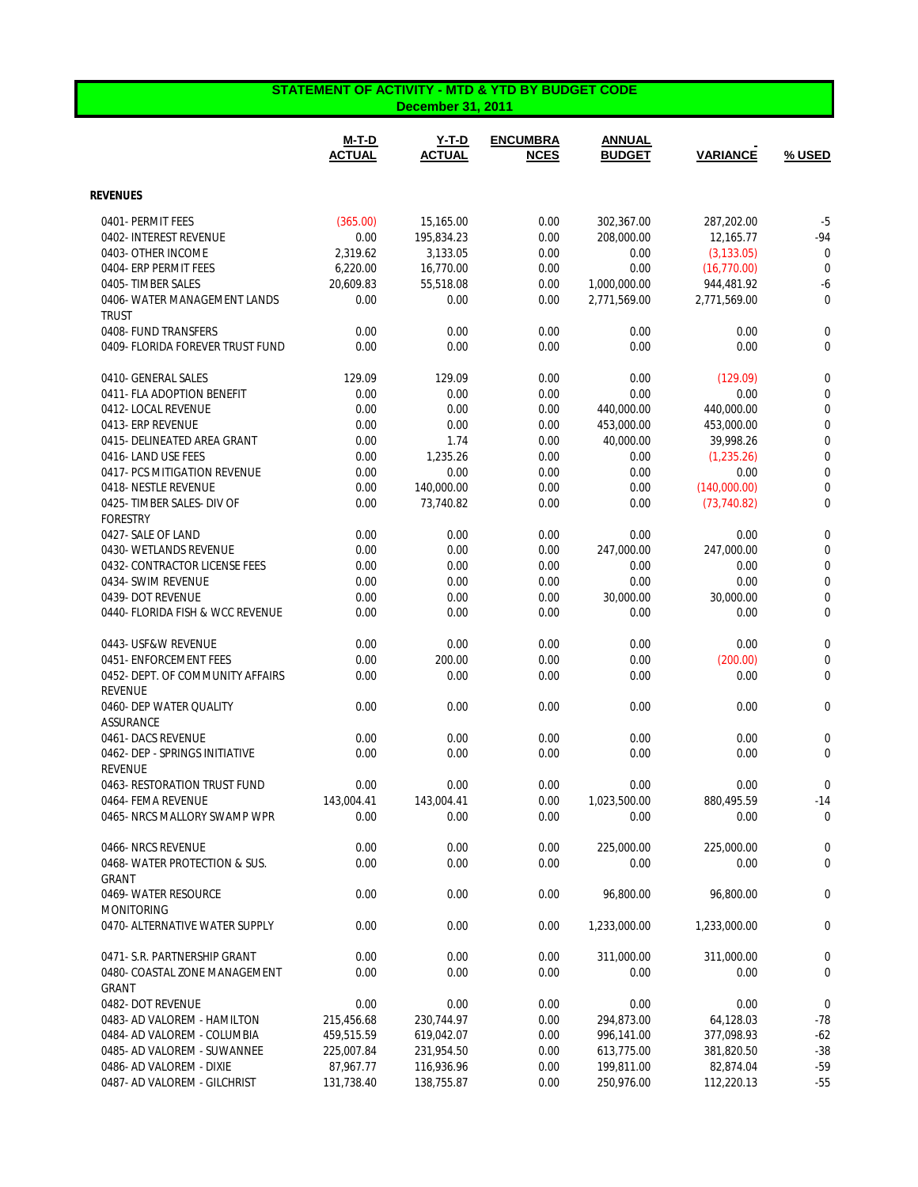| STATEMENT OF ACTIVITY - MTD & YTD BY BUDGET CODE<br><b>December 31, 2011</b> |                        |                          |                                |                                |                 |                  |  |
|------------------------------------------------------------------------------|------------------------|--------------------------|--------------------------------|--------------------------------|-----------------|------------------|--|
|                                                                              | M-T-D<br><b>ACTUAL</b> | $Y-T-D$<br><b>ACTUAL</b> | <b>ENCUMBRA</b><br><b>NCES</b> | <b>ANNUAL</b><br><b>BUDGET</b> | <b>VARIANCE</b> | % USED           |  |
| <b>REVENUES</b>                                                              |                        |                          |                                |                                |                 |                  |  |
| 0401- PERMIT FEES                                                            | (365.00)               | 15,165.00                | 0.00                           | 302,367.00                     | 287,202.00      | $-5$             |  |
| 0402- INTEREST REVENUE                                                       | 0.00                   | 195.834.23               | 0.00                           | 208.000.00                     | 12,165.77       | -94              |  |
| 0403- OTHER INCOME                                                           | 2,319.62               | 3,133.05                 | 0.00                           | 0.00                           | (3, 133.05)     | $\mathbf 0$      |  |
| 0404- ERP PERMIT FEES                                                        | 6,220.00               | 16,770.00                | 0.00                           | 0.00                           | (16,770.00)     | $\mathbf 0$      |  |
| 0405-TIMBER SALES                                                            | 20,609.83              | 55,518.08                | 0.00                           | 1,000,000.00                   | 944,481.92      | $-6$             |  |
| 0406- WATER MANAGEMENT LANDS                                                 | 0.00                   | 0.00                     | 0.00                           | 2,771,569.00                   | 2,771,569.00    | $\mathbf 0$      |  |
| <b>TRUST</b>                                                                 |                        |                          |                                |                                |                 |                  |  |
| 0408- FUND TRANSFERS                                                         | 0.00                   | 0.00                     | 0.00                           | 0.00                           | 0.00            | $\mathbf 0$      |  |
| 0409- FLORIDA FOREVER TRUST FUND                                             | 0.00                   | 0.00                     | 0.00                           | 0.00                           | 0.00            | 0                |  |
| 0410- GENERAL SALES                                                          | 129.09                 | 129.09                   | 0.00                           | 0.00                           | (129.09)        | 0                |  |
| 0411- FLA ADOPTION BENEFIT                                                   | 0.00                   | 0.00                     | 0.00                           | 0.00                           | 0.00            | 0                |  |
| 0412- LOCAL REVENUE                                                          | 0.00                   | 0.00                     | 0.00                           | 440,000.00                     | 440,000.00      | $\mathbf 0$      |  |
| 0413- ERP REVENUE                                                            | 0.00                   | 0.00                     | 0.00                           | 453,000.00                     | 453,000.00      | $\mathbf 0$      |  |
| 0415- DELINEATED AREA GRANT                                                  | 0.00                   | 1.74                     | 0.00                           | 40,000.00                      | 39,998.26       | $\mathbf 0$      |  |
| 0416-LAND USE FEES                                                           | 0.00                   | 1,235.26                 | 0.00                           | 0.00                           | (1, 235.26)     | $\mathbf 0$      |  |
| 0417- PCS MITIGATION REVENUE                                                 | 0.00                   | 0.00                     | 0.00                           | 0.00                           | 0.00            | $\mathbf 0$      |  |
| 0418- NESTLE REVENUE                                                         | 0.00                   | 140,000.00               | 0.00                           | 0.00                           | (140,000.00)    | 0                |  |
| 0425- TIMBER SALES- DIV OF<br><b>FORESTRY</b>                                | 0.00                   | 73,740.82                | 0.00                           | 0.00                           | (73, 740.82)    | $\mathbf 0$      |  |
| 0427- SALE OF LAND                                                           | 0.00                   | 0.00                     | 0.00                           | 0.00                           | 0.00            | $\mathbf 0$      |  |
| 0430- WETLANDS REVENUE                                                       | 0.00                   | 0.00                     | 0.00                           | 247,000.00                     | 247,000.00      | $\mathbf 0$      |  |
| 0432- CONTRACTOR LICENSE FEES                                                | 0.00                   | 0.00                     | 0.00                           | 0.00                           | 0.00            | $\mathbf 0$      |  |
| 0434- SWIM REVENUE                                                           | 0.00                   | 0.00                     | 0.00                           | 0.00                           | 0.00            | $\mathbf 0$      |  |
| 0439- DOT REVENUE                                                            | 0.00                   | 0.00                     | 0.00                           | 30,000.00                      | 30,000.00       | $\mathbf 0$      |  |
| 0440- FLORIDA FISH & WCC REVENUE                                             | 0.00                   | 0.00                     | 0.00                           | 0.00                           | 0.00            | $\mathbf 0$      |  |
| 0443- USF&W REVENUE                                                          | 0.00                   | 0.00                     | 0.00                           | 0.00                           | 0.00            | $\mathbf 0$      |  |
| 0451- ENFORCEMENT FEES                                                       | 0.00                   | 200.00                   | 0.00                           | 0.00                           | (200.00)        | $\mathbf 0$      |  |
| 0452- DEPT. OF COMMUNITY AFFAIRS                                             | 0.00                   | 0.00                     | 0.00                           | 0.00                           | 0.00            | $\mathbf 0$      |  |
| <b>REVENUE</b><br>0460- DEP WATER QUALITY                                    | 0.00                   | 0.00                     | 0.00                           | 0.00                           | 0.00            | 0                |  |
| <b>ASSURANCE</b>                                                             |                        |                          |                                |                                |                 |                  |  |
| 0461- DACS REVENUE                                                           | 0.00                   | 0.00                     | 0.00                           | 0.00                           | 0.00            | 0                |  |
| 0462- DEP - SPRINGS INITIATIVE                                               | 0.00                   | 0.00                     | 0.00                           | 0.00                           | 0.00            | $\mathbf 0$      |  |
| <b>REVENUE</b>                                                               | 0.00                   | 0.00                     | 0.00                           | 0.00                           | 0.00            | $\mathbf 0$      |  |
| 0463-RESTORATION TRUST FUND<br>0464- FEMA REVENUE                            | 143,004.41             | 143,004.41               | 0.00                           | 1,023,500.00                   | 880,495.59      | $-14$            |  |
| 0465- NRCS MALLORY SWAMP WPR                                                 | 0.00                   | 0.00                     | 0.00                           | 0.00                           | 0.00            | $\mathbf 0$      |  |
|                                                                              |                        |                          |                                |                                |                 |                  |  |
| 0466-NRCS REVENUE                                                            | 0.00                   | 0.00                     | 0.00                           | 225,000.00                     | 225,000.00      | $\boldsymbol{0}$ |  |
| 0468-WATER PROTECTION & SUS.<br>GRANT                                        | 0.00                   | 0.00                     | 0.00                           | 0.00                           | 0.00            | $\mathbf 0$      |  |
| 0469- WATER RESOURCE<br><b>MONITORING</b>                                    | 0.00                   | 0.00                     | 0.00                           | 96,800.00                      | 96,800.00       | 0                |  |
| 0470- ALTERNATIVE WATER SUPPLY                                               | 0.00                   | 0.00                     | 0.00                           | 1,233,000.00                   | 1,233,000.00    | $\mathbf 0$      |  |
| 0471- S.R. PARTNERSHIP GRANT                                                 | 0.00                   | 0.00                     | 0.00                           | 311,000.00                     | 311,000.00      | $\boldsymbol{0}$ |  |
| 0480- COASTAL ZONE MANAGEMENT<br>GRANT                                       | 0.00                   | 0.00                     | 0.00                           | 0.00                           | 0.00            | $\mathbf 0$      |  |
| 0482-DOT REVENUE                                                             | 0.00                   | 0.00                     | 0.00                           | 0.00                           | 0.00            | $\mathbf 0$      |  |
| 0483- AD VALOREM - HAMILTON                                                  | 215,456.68             | 230,744.97               | 0.00                           | 294,873.00                     | 64,128.03       | $-78$            |  |
| 0484- AD VALOREM - COLUMBIA                                                  | 459,515.59             | 619,042.07               | 0.00                           | 996,141.00                     | 377,098.93      | $-62$            |  |
| 0485- AD VALOREM - SUWANNEE                                                  | 225,007.84             | 231,954.50               | 0.00                           | 613,775.00                     | 381,820.50      | $-38$            |  |
| 0486- AD VALOREM - DIXIE                                                     | 87,967.77              | 116,936.96               | 0.00                           | 199,811.00                     | 82,874.04       | $-59$            |  |
| 0487- AD VALOREM - GILCHRIST                                                 | 131,738.40             | 138,755.87               | 0.00                           | 250,976.00                     | 112,220.13      | $-55$            |  |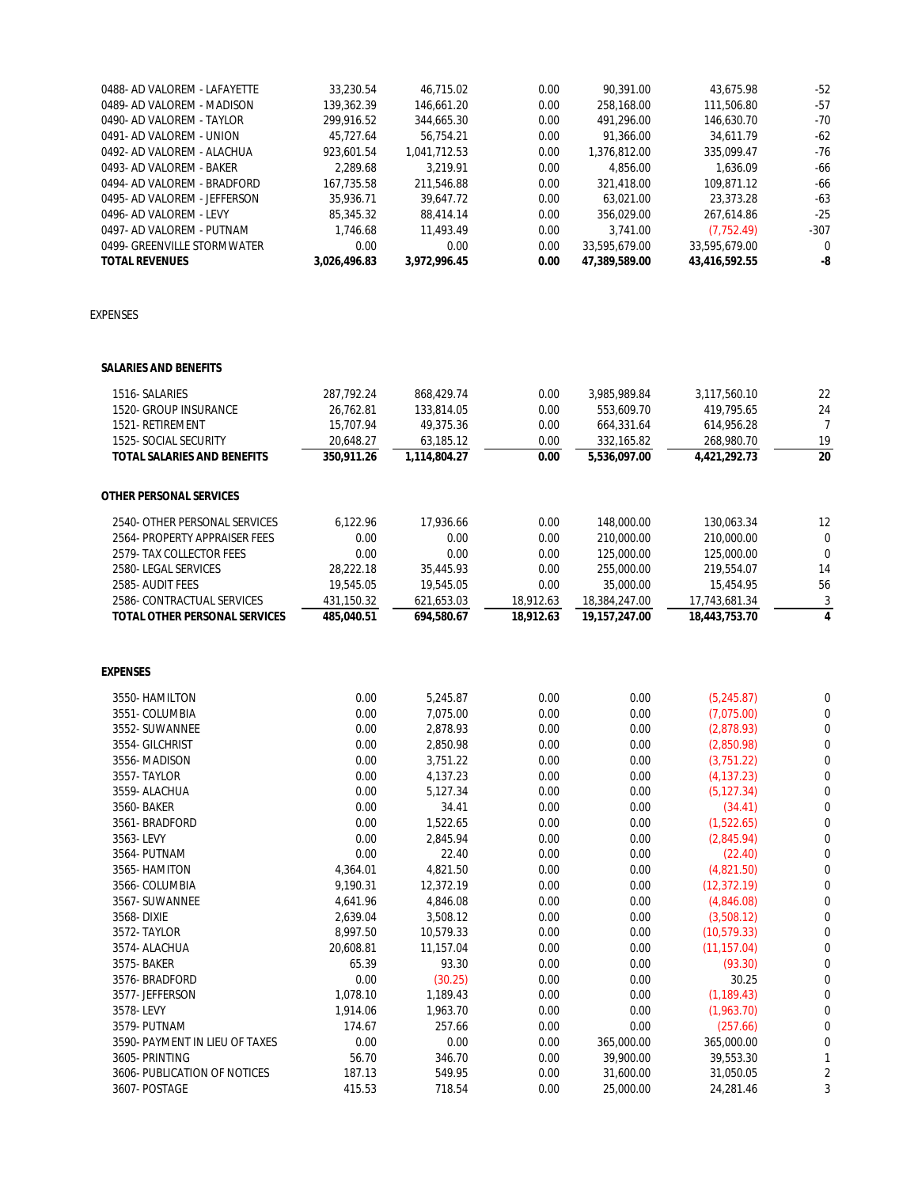| 0488- AD VALOREM - LAFAYETTE     | 33,230.54    | 46,715.02                | 0.00      | 90.391.00     | 43,675.98                | $-52$                        |
|----------------------------------|--------------|--------------------------|-----------|---------------|--------------------------|------------------------------|
| 0489- AD VALOREM - MADISON       | 139,362.39   | 146,661.20               | 0.00      | 258,168.00    | 111,506.80               | $-57$                        |
| 0490- AD VALOREM - TAYLOR        | 299,916.52   | 344,665.30               | 0.00      | 491,296.00    | 146,630.70               | $-70$                        |
| 0491- AD VALOREM - UNION         | 45,727.64    | 56,754.21                | 0.00      | 91,366.00     | 34,611.79                | $-62$                        |
| 0492- AD VALOREM - ALACHUA       | 923,601.54   | 1,041,712.53             | 0.00      | 1,376,812.00  | 335,099.47               | $-76$                        |
| 0493- AD VALOREM - BAKER         | 2,289.68     | 3,219.91                 | 0.00      | 4,856.00      | 1,636.09                 | $-66$                        |
| 0494- AD VALOREM - BRADFORD      | 167,735.58   | 211,546.88               | 0.00      | 321,418.00    | 109,871.12               | $-66$                        |
|                                  |              |                          |           |               |                          |                              |
| 0495- AD VALOREM - JEFFERSON     | 35,936.71    | 39,647.72                | 0.00      | 63,021.00     | 23,373.28                | $-63$                        |
| 0496- AD VALOREM - LEVY          | 85,345.32    | 88,414.14                | 0.00      | 356,029.00    | 267,614.86               | $-25$                        |
| 0497- AD VALOREM - PUTNAM        | 1,746.68     | 11,493.49                | 0.00      | 3,741.00      | (7, 752.49)              | $-307$                       |
| 0499- GREENVILLE STORMWATER      | 0.00         | 0.00                     | 0.00      | 33,595,679.00 | 33,595,679.00            | $\mathbf 0$                  |
| <b>TOTAL REVENUES</b>            | 3,026,496.83 | 3,972,996.45             | 0.00      | 47,389,589.00 | 43,416,592.55            | -8                           |
| <b>EXPENSES</b>                  |              |                          |           |               |                          |                              |
| <b>SALARIES AND BENEFITS</b>     |              |                          |           |               |                          |                              |
| 1516-SALARIES                    | 287,792.24   | 868,429.74               | 0.00      | 3,985,989.84  | 3,117,560.10             | 22                           |
|                                  |              |                          |           |               |                          |                              |
| 1520- GROUP INSURANCE            | 26,762.81    | 133,814.05               | 0.00      | 553,609.70    | 419,795.65               | 24                           |
| 1521-RETIREMENT                  | 15,707.94    | 49,375.36                | 0.00      | 664,331.64    | 614,956.28               | $\overline{7}$               |
| 1525- SOCIAL SECURITY            | 20,648.27    | 63,185.12                | 0.00      | 332,165.82    | 268,980.70               | 19                           |
| TOTAL SALARIES AND BENEFITS      | 350,911.26   | 1,114,804.27             | 0.00      | 5,536,097.00  | 4,421,292.73             | 20                           |
| OTHER PERSONAL SERVICES          |              |                          |           |               |                          |                              |
| 2540- OTHER PERSONAL SERVICES    | 6,122.96     | 17,936.66                | 0.00      | 148,000.00    | 130,063.34               | 12                           |
| 2564- PROPERTY APPRAISER FEES    | 0.00         | 0.00                     | 0.00      | 210,000.00    | 210,000.00               | 0                            |
| 2579- TAX COLLECTOR FEES         | 0.00         | 0.00                     | 0.00      | 125,000.00    | 125,000.00               | $\mathbf 0$                  |
| 2580-LEGAL SERVICES              | 28,222.18    | 35,445.93                | 0.00      | 255,000.00    | 219,554.07               | 14                           |
| 2585- AUDIT FEES                 | 19,545.05    | 19,545.05                | 0.00      | 35,000.00     | 15,454.95                | 56                           |
| 2586- CONTRACTUAL SERVICES       | 431,150.32   |                          | 18,912.63 | 18,384,247.00 | 17,743,681.34            |                              |
| TOTAL OTHER PERSONAL SERVICES    | 485,040.51   | 621,653.03<br>694,580.67 | 18,912.63 | 19,157,247.00 | 18,443,753.70            | 3<br>$\overline{\mathbf{4}}$ |
| <b>EXPENSES</b>                  |              |                          |           |               |                          |                              |
|                                  |              |                          |           |               |                          |                              |
| 3550- HAMILTON                   | 0.00         | 5,245.87                 | 0.00      | 0.00          | (5,245.87)               | 0                            |
| 3551- COLUMBIA                   | 0.00         | 7,075.00                 | 0.00      | 0.00          | (7,075.00)               | 0                            |
| 3552- SUWANNEE                   |              |                          |           |               |                          |                              |
|                                  | 0.00         | 2.878.93                 | 0.00      | 0.00          | (2,878.93)               | $\mathbf 0$                  |
|                                  | 0.00         |                          | 0.00      | 0.00          |                          | $\mathbf 0$                  |
| 3554- GILCHRIST<br>3556- MADISON | 0.00         | 2,850.98                 | 0.00      | 0.00          | (2,850.98)<br>(3,751.22) | 0                            |
|                                  |              | 3,751.22                 |           |               |                          | 0                            |
| 3557-TAYLOR                      | 0.00         | 4,137.23                 | 0.00      | 0.00          | (4, 137.23)              |                              |
| 3559- ALACHUA                    | 0.00         | 5,127.34                 | 0.00      | 0.00          | (5, 127.34)              | 0                            |
| 3560- BAKER                      | 0.00         | 34.41                    | 0.00      | 0.00          | (34.41)                  | 0                            |
| 3561-BRADFORD                    | 0.00         | 1,522.65                 | 0.00      | 0.00          | (1,522.65)               | 0                            |
| 3563-LEVY                        | 0.00         | 2,845.94                 | 0.00      | 0.00          | (2,845.94)               | $\mathbf 0$                  |
| 3564- PUTNAM                     | 0.00         | 22.40                    | 0.00      | 0.00          | (22.40)                  | 0                            |
| 3565- HAMITON                    | 4,364.01     | 4,821.50                 | 0.00      | 0.00          | (4,821.50)               | $\mathbf 0$                  |
| 3566- COLUMBIA                   | 9,190.31     | 12,372.19                | 0.00      | 0.00          | (12, 372.19)             | 0                            |
| 3567- SUWANNEE                   | 4,641.96     | 4,846.08                 | 0.00      | 0.00          | (4,846.08)               | 0                            |
| 3568-DIXIE                       | 2,639.04     | 3,508.12                 | 0.00      | 0.00          | (3,508.12)               | 0                            |
| 3572-TAYLOR                      | 8,997.50     | 10,579.33                | 0.00      | 0.00          | (10, 579.33)             | 0                            |
| 3574- ALACHUA                    | 20,608.81    | 11,157.04                | 0.00      | 0.00          | (11, 157.04)             | 0                            |
| 3575- BAKER                      | 65.39        | 93.30                    | 0.00      | 0.00          | (93.30)                  | 0                            |
| 3576- BRADFORD                   | 0.00         | (30.25)                  | 0.00      | 0.00          | 30.25                    | 0                            |
| 3577- JEFFERSON                  | 1,078.10     | 1,189.43                 | 0.00      | 0.00          | (1, 189.43)              | 0                            |
| 3578-LEVY                        | 1,914.06     | 1,963.70                 | 0.00      | 0.00          | (1,963.70)               | 0                            |
| 3579- PUTNAM                     | 174.67       | 257.66                   | 0.00      | 0.00          | (257.66)                 | 0                            |
| 3590- PAYMENT IN LIEU OF TAXES   | 0.00         | 0.00                     | 0.00      | 365,000.00    | 365,000.00               | 0                            |
| 3605- PRINTING                   | 56.70        | 346.70                   | 0.00      | 39,900.00     | 39,553.30                | 1                            |
| 3606- PUBLICATION OF NOTICES     | 187.13       | 549.95                   | 0.00      | 31,600.00     | 31,050.05                | $\overline{c}$               |